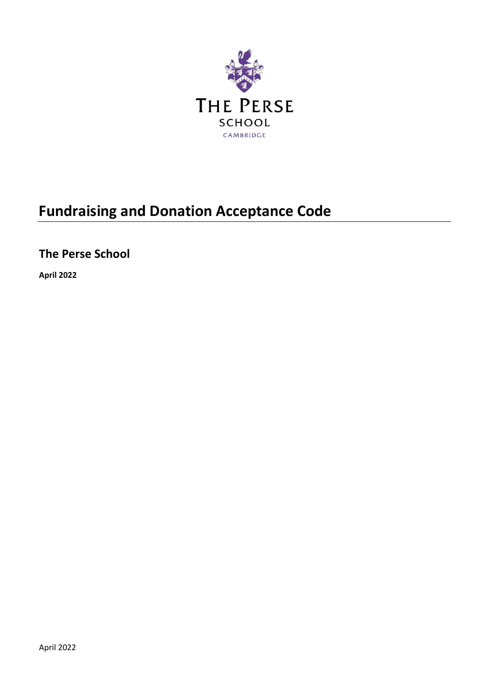

# **Fundraising and Donation Acceptance Code**

## **The Perse School**

**April 2022**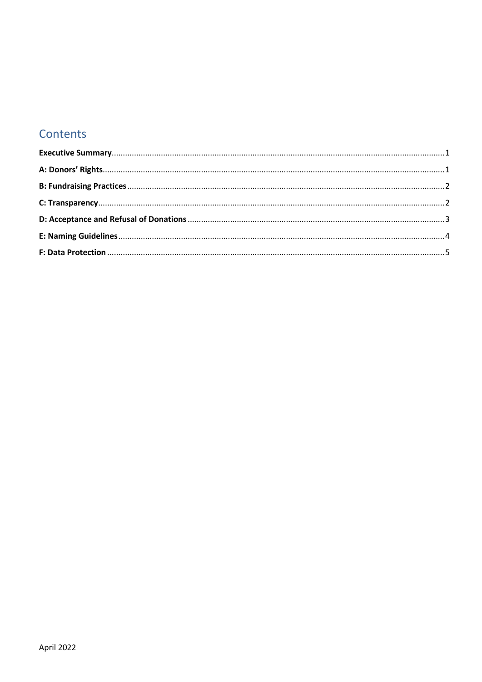### Contents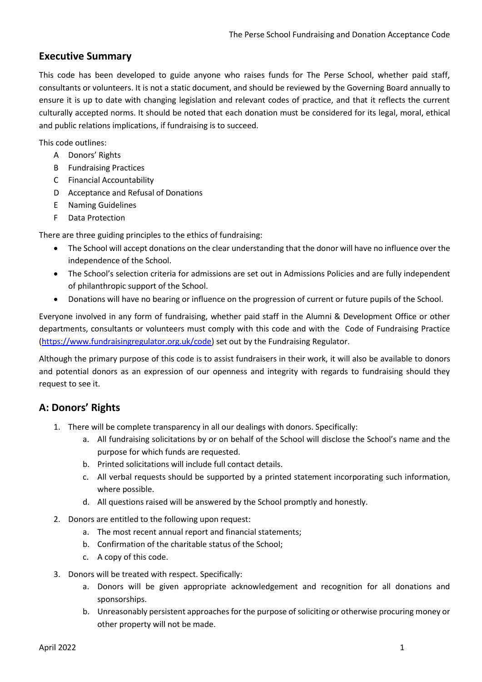#### <span id="page-2-0"></span>**Executive Summary**

This code has been developed to guide anyone who raises funds for The Perse School, whether paid staff, consultants or volunteers. It is not a static document, and should be reviewed by the Governing Board annually to ensure it is up to date with changing legislation and relevant codes of practice, and that it reflects the current culturally accepted norms. It should be noted that each donation must be considered for its legal, moral, ethical and public relations implications, if fundraising is to succeed.

This code outlines:

- A Donors' Rights
- B Fundraising Practices
- C Financial Accountability
- D Acceptance and Refusal of Donations
- E Naming Guidelines
- F Data Protection

There are three guiding principles to the ethics of fundraising:

- The School will accept donations on the clear understanding that the donor will have no influence over the independence of the School.
- The School's selection criteria for admissions are set out in Admissions Policies and are fully independent of philanthropic support of the School.
- Donations will have no bearing or influence on the progression of current or future pupils of the School.

Everyone involved in any form of fundraising, whether paid staff in the Alumni & Development Office or other departments, consultants or volunteers must comply with this code and with the Code of Fundraising Practice [\(https://www.fundraisingregulator.org.uk/code\)](https://www.fundraisingregulator.org.uk/code) set out by the Fundraising Regulator.

Although the primary purpose of this code is to assist fundraisers in their work, it will also be available to donors and potential donors as an expression of our openness and integrity with regards to fundraising should they request to see it.

#### <span id="page-2-1"></span>**A: Donors' Rights**

- 1. There will be complete transparency in all our dealings with donors. Specifically:
	- a. All fundraising solicitations by or on behalf of the School will disclose the School's name and the purpose for which funds are requested.
	- b. Printed solicitations will include full contact details.
	- c. All verbal requests should be supported by a printed statement incorporating such information, where possible.
	- d. All questions raised will be answered by the School promptly and honestly.
- 2. Donors are entitled to the following upon request:
	- a. The most recent annual report and financial statements;
	- b. Confirmation of the charitable status of the School;
	- c. A copy of this code.
- 3. Donors will be treated with respect. Specifically:
	- a. Donors will be given appropriate acknowledgement and recognition for all donations and sponsorships.
	- b. Unreasonably persistent approaches for the purpose of soliciting or otherwise procuring money or other property will not be made.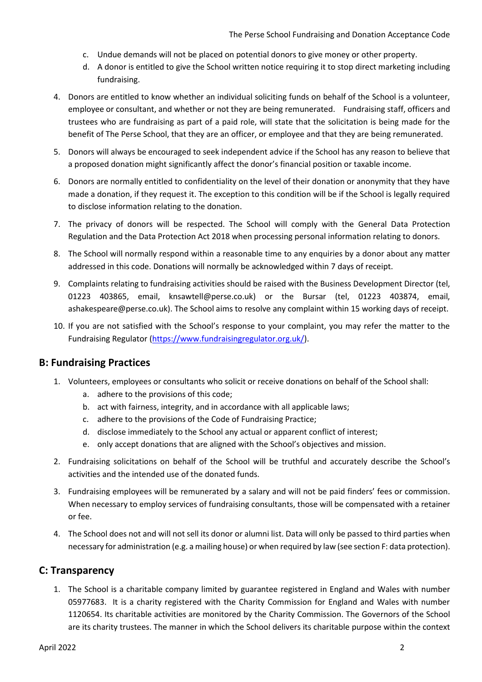- c. Undue demands will not be placed on potential donors to give money or other property.
- d. A donor is entitled to give the School written notice requiring it to stop direct marketing including fundraising.
- 4. Donors are entitled to know whether an individual soliciting funds on behalf of the School is a volunteer, employee or consultant, and whether or not they are being remunerated. Fundraising staff, officers and trustees who are fundraising as part of a paid role, will state that the solicitation is being made for the benefit of The Perse School, that they are an officer, or employee and that they are being remunerated.
- 5. Donors will always be encouraged to seek independent advice if the School has any reason to believe that a proposed donation might significantly affect the donor's financial position or taxable income.
- 6. Donors are normally entitled to confidentiality on the level of their donation or anonymity that they have made a donation, if they request it. The exception to this condition will be if the School is legally required to disclose information relating to the donation.
- 7. The privacy of donors will be respected. The School will comply with the General Data Protection Regulation and the Data Protection Act 2018 when processing personal information relating to donors.
- 8. The School will normally respond within a reasonable time to any enquiries by a donor about any matter addressed in this code. Donations will normally be acknowledged within 7 days of receipt.
- 9. Complaints relating to fundraising activities should be raised with the Business Development Director (tel, 01223 403865, email, knsawtell@perse.co.uk) or the Bursar (tel, 01223 403874, email, ashakespeare@perse.co.uk). The School aims to resolve any complaint within 15 working days of receipt.
- 10. If you are not satisfied with the School's response to your complaint, you may refer the matter to the Fundraising Regulator [\(https://www.fundraisingregulator.org.uk/\)](https://www.fundraisingregulator.org.uk/).

#### <span id="page-3-0"></span>**B: Fundraising Practices**

- 1. Volunteers, employees or consultants who solicit or receive donations on behalf of the School shall:
	- a. adhere to the provisions of this code;
	- b. act with fairness, integrity, and in accordance with all applicable laws;
	- c. adhere to the provisions of the Code of Fundraising Practice;
	- d. disclose immediately to the School any actual or apparent conflict of interest;
	- e. only accept donations that are aligned with the School's objectives and mission.
- 2. Fundraising solicitations on behalf of the School will be truthful and accurately describe the School's activities and the intended use of the donated funds.
- 3. Fundraising employees will be remunerated by a salary and will not be paid finders' fees or commission. When necessary to employ services of fundraising consultants, those will be compensated with a retainer or fee.
- 4. The School does not and will not sell its donor or alumni list. Data will only be passed to third parties when necessary for administration (e.g. a mailing house) or when required by law (see section F: data protection).

#### <span id="page-3-1"></span>**C: Transparency**

1. The School is a charitable company limited by guarantee registered in England and Wales with number 05977683. It is a charity registered with the Charity Commission for England and Wales with number 1120654. Its charitable activities are monitored by the Charity Commission. The Governors of the School are its charity trustees. The manner in which the School delivers its charitable purpose within the context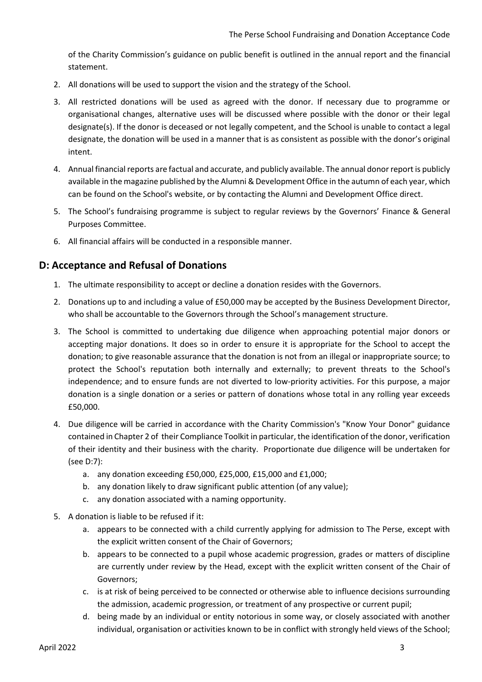of the Charity Commission's guidance on public benefit is outlined in the annual report and the financial statement.

- 2. All donations will be used to support the vision and the strategy of the School.
- 3. All restricted donations will be used as agreed with the donor. If necessary due to programme or organisational changes, alternative uses will be discussed where possible with the donor or their legal designate(s). If the donor is deceased or not legally competent, and the School is unable to contact a legal designate, the donation will be used in a manner that is as consistent as possible with the donor's original intent.
- 4. Annual financial reports are factual and accurate, and publicly available. The annual donor report is publicly available in the magazine published by the Alumni & Development Office in the autumn of each year, which can be found on the School's website, or by contacting the Alumni and Development Office direct.
- 5. The School's fundraising programme is subject to regular reviews by the Governors' Finance & General Purposes Committee.
- 6. All financial affairs will be conducted in a responsible manner.

#### <span id="page-4-0"></span>**D: Acceptance and Refusal of Donations**

- 1. The ultimate responsibility to accept or decline a donation resides with the Governors.
- 2. Donations up to and including a value of £50,000 may be accepted by the Business Development Director, who shall be accountable to the Governors through the School's management structure.
- 3. The School is committed to undertaking due diligence when approaching potential major donors or accepting major donations. It does so in order to ensure it is appropriate for the School to accept the donation; to give reasonable assurance that the donation is not from an illegal or inappropriate source; to protect the School's reputation both internally and externally; to prevent threats to the School's independence; and to ensure funds are not diverted to low-priority activities. For this purpose, a major donation is a single donation or a series or pattern of donations whose total in any rolling year exceeds £50,000.
- 4. Due diligence will be carried in accordance with the Charity Commission's "Know Your Donor" guidance contained in Chapter 2 of their Compliance Toolkit in particular, the identification of the donor, verification of their identity and their business with the charity. Proportionate due diligence will be undertaken for (see D:7):
	- a. any donation exceeding £50,000, £25,000, £15,000 and £1,000;
	- b. any donation likely to draw significant public attention (of any value);
	- c. any donation associated with a naming opportunity.
- 5. A donation is liable to be refused if it:
	- a. appears to be connected with a child currently applying for admission to The Perse, except with the explicit written consent of the Chair of Governors;
	- b. appears to be connected to a pupil whose academic progression, grades or matters of discipline are currently under review by the Head, except with the explicit written consent of the Chair of Governors;
	- c. is at risk of being perceived to be connected or otherwise able to influence decisions surrounding the admission, academic progression, or treatment of any prospective or current pupil;
	- d. being made by an individual or entity notorious in some way, or closely associated with another individual, organisation or activities known to be in conflict with strongly held views of the School;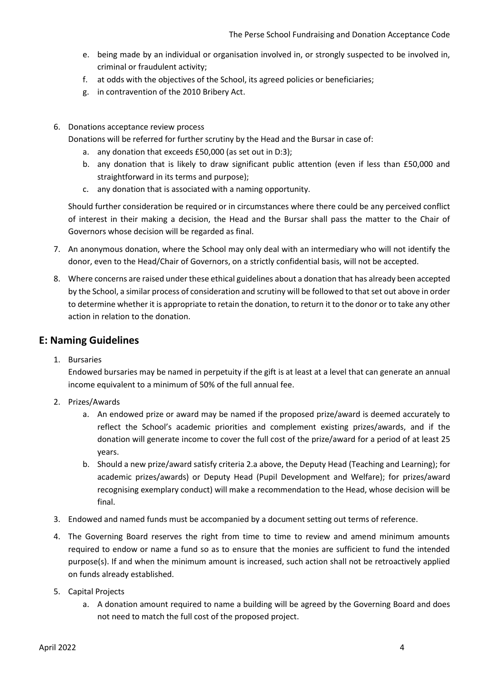- e. being made by an individual or organisation involved in, or strongly suspected to be involved in, criminal or fraudulent activity;
- f. at odds with the objectives of the School, its agreed policies or beneficiaries;
- g. in contravention of the 2010 Bribery Act.
- 6. Donations acceptance review process
	- Donations will be referred for further scrutiny by the Head and the Bursar in case of:
		- a. any donation that exceeds £50,000 (as set out in D:3);
		- b. any donation that is likely to draw significant public attention (even if less than £50,000 and straightforward in its terms and purpose);
		- c. any donation that is associated with a naming opportunity.

Should further consideration be required or in circumstances where there could be any perceived conflict of interest in their making a decision, the Head and the Bursar shall pass the matter to the Chair of Governors whose decision will be regarded as final.

- 7. An anonymous donation, where the School may only deal with an intermediary who will not identify the donor, even to the Head/Chair of Governors, on a strictly confidential basis, will not be accepted.
- 8. Where concerns are raised under these ethical guidelines about a donation that has already been accepted by the School, a similar process of consideration and scrutiny will be followed to that set out above in order to determine whether it is appropriate to retain the donation, to return it to the donor or to take any other action in relation to the donation.

#### <span id="page-5-0"></span>**E: Naming Guidelines**

1. Bursaries

Endowed bursaries may be named in perpetuity if the gift is at least at a level that can generate an annual income equivalent to a minimum of 50% of the full annual fee.

- 2. Prizes/Awards
	- a. An endowed prize or award may be named if the proposed prize/award is deemed accurately to reflect the School's academic priorities and complement existing prizes/awards, and if the donation will generate income to cover the full cost of the prize/award for a period of at least 25 years.
	- b. Should a new prize/award satisfy criteria 2.a above, the Deputy Head (Teaching and Learning); for academic prizes/awards) or Deputy Head (Pupil Development and Welfare); for prizes/award recognising exemplary conduct) will make a recommendation to the Head, whose decision will be final.
- 3. Endowed and named funds must be accompanied by a document setting out terms of reference.
- 4. The Governing Board reserves the right from time to time to review and amend minimum amounts required to endow or name a fund so as to ensure that the monies are sufficient to fund the intended purpose(s). If and when the minimum amount is increased, such action shall not be retroactively applied on funds already established.
- 5. Capital Projects
	- a. A donation amount required to name a building will be agreed by the Governing Board and does not need to match the full cost of the proposed project.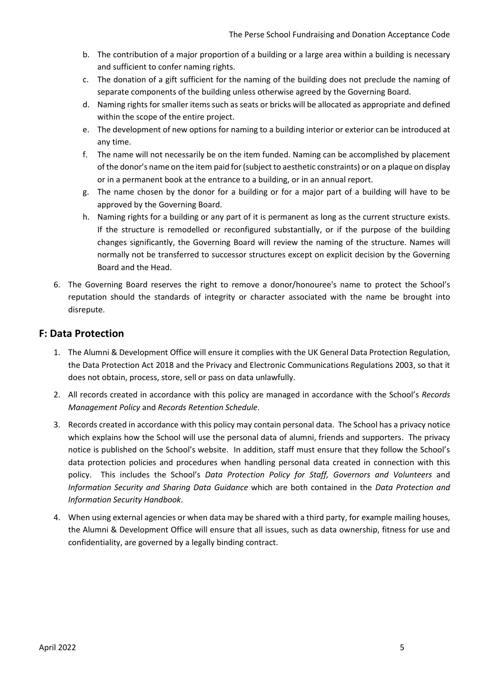- b. The contribution of a major proportion of a building or a large area within a building is necessary and sufficient to confer naming rights.
- c. The donation of a gift sufficient for the naming of the building does not preclude the naming of separate components of the building unless otherwise agreed by the Governing Board.
- d. Naming rights for smaller items such as seats or bricks will be allocated as appropriate and defined within the scope of the entire project.
- e. The development of new options for naming to a building interior or exterior can be introduced at any time.
- f. The name will not necessarily be on the item funded. Naming can be accomplished by placement of the donor's name on the item paid for (subject to aesthetic constraints) or on a plaque on display or in a permanent book at the entrance to a building, or in an annual report.
- g. The name chosen by the donor for a building or for a major part of a building will have to be approved by the Governing Board.
- h. Naming rights for a building or any part of it is permanent as long as the current structure exists. If the structure is remodelled or reconfigured substantially, or if the purpose of the building changes significantly, the Governing Board will review the naming of the structure. Names will normally not be transferred to successor structures except on explicit decision by the Governing Board and the Head.
- 6. The Governing Board reserves the right to remove a donor/honouree's name to protect the School's reputation should the standards of integrity or character associated with the name be brought into disrepute.

#### <span id="page-6-0"></span>**F: Data Protection**

- 1. The Alumni & Development Office will ensure it complies with the UK General Data Protection Regulation, the Data Protection Act 2018 and the Privacy and Electronic Communications Regulations 2003, so that it does not obtain, process, store, sell or pass on data unlawfully.
- 2. All records created in accordance with this policy are managed in accordance with the School's *Records Management Policy* and *Records Retention Schedule*.
- 3. Records created in accordance with this policy may contain personal data. The School has a privacy notice which explains how the School will use the personal data of alumni, friends and supporters. The privacy notice is published on the School's website. In addition, staff must ensure that they follow the School's data protection policies and procedures when handling personal data created in connection with this policy. This includes the School's *Data Protection Policy for Staff, Governors and Volunteers* and *Information Security and Sharing Data Guidance* which are both contained in the *Data Protection and Information Security Handbook*.
- 4. When using external agencies or when data may be shared with a third party, for example mailing houses, the Alumni & Development Office will ensure that all issues, such as data ownership, fitness for use and confidentiality, are governed by a legally binding contract.